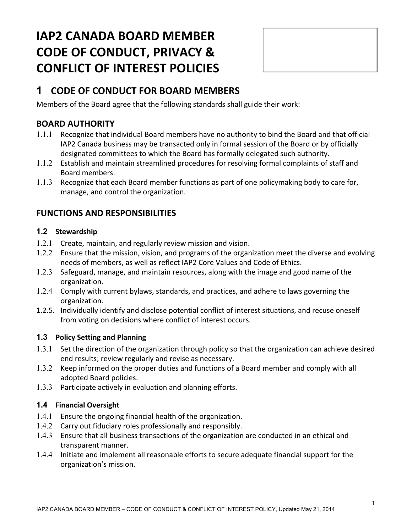# **IAP2 CANADA BOARD MEMBER CODE OF CONDUCT, PRIVACY & CONFLICT OF INTEREST POLICIES**



# **1 CODE OF CONDUCT FOR BOARD MEMBERS**

Members of the Board agree that the following standards shall guide their work:

### **BOARD AUTHORITY**

- 1.1.1 Recognize that individual Board members have no authority to bind the Board and that official IAP2 Canada business may be transacted only in formal session of the Board or by officially designated committees to which the Board has formally delegated such authority.
- 1.1.2 Establish and maintain streamlined procedures for resolving formal complaints of staff and Board members.
- 1.1.3 Recognize that each Board member functions as part of one policymaking body to care for, manage, and control the organization.

### **FUNCTIONS AND RESPONSIBILITIES**

#### **1.2 Stewardship**

- 1.2.1 Create, maintain, and regularly review mission and vision.
- 1.2.2 Ensure that the mission, vision, and programs of the organization meet the diverse and evolving needs of members, as well as reflect IAP2 Core Values and Code of Ethics.
- 1.2.3 Safeguard, manage, and maintain resources, along with the image and good name of the organization.
- 1.2.4 Comply with current bylaws, standards, and practices, and adhere to laws governing the organization.
- 1.2.5. Individually identify and disclose potential conflict of interest situations, and recuse oneself from voting on decisions where conflict of interest occurs.

#### **1.3 Policy Setting and Planning**

- 1.3.1 Set the direction of the organization through policy so that the organization can achieve desired end results; review regularly and revise as necessary.
- 1.3.2 Keep informed on the proper duties and functions of a Board member and comply with all adopted Board policies.
- 1.3.3 Participate actively in evaluation and planning efforts.

#### **1.4 Financial Oversight**

- 1.4.1 Ensure the ongoing financial health of the organization.
- 1.4.2 Carry out fiduciary roles professionally and responsibly.
- 1.4.3 Ensure that all business transactions of the organization are conducted in an ethical and transparent manner.
- 1.4.4 Initiate and implement all reasonable efforts to secure adequate financial support for the organization's mission.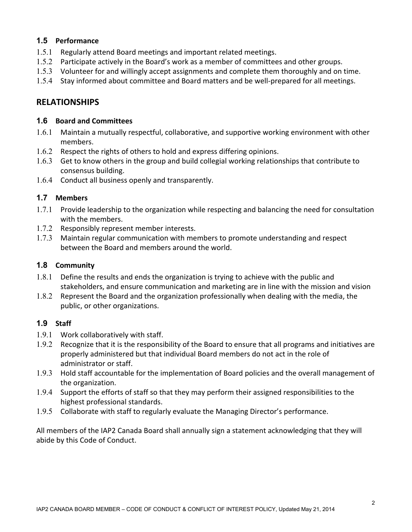#### **1.5 Performance**

- 1.5.1 Regularly attend Board meetings and important related meetings.
- 1.5.2 Participate actively in the Board's work as a member of committees and other groups.
- 1.5.3 Volunteer for and willingly accept assignments and complete them thoroughly and on time.
- 1.5.4 Stay informed about committee and Board matters and be well-prepared for all meetings.

### **RELATIONSHIPS**

#### **1.6 Board and Committees**

- 1.6.1 Maintain a mutually respectful, collaborative, and supportive working environment with other members.
- 1.6.2 Respect the rights of others to hold and express differing opinions.
- 1.6.3 Get to know others in the group and build collegial working relationships that contribute to consensus building.
- 1.6.4 Conduct all business openly and transparently.

#### **1.7 Members**

- 1.7.1 Provide leadership to the organization while respecting and balancing the need for consultation with the members.
- 1.7.2 Responsibly represent member interests.
- 1.7.3 Maintain regular communication with members to promote understanding and respect between the Board and members around the world.

#### **1.8 Community**

- 1.8.1 Define the results and ends the organization is trying to achieve with the public and stakeholders, and ensure communication and marketing are in line with the mission and vision
- 1.8.2 Represent the Board and the organization professionally when dealing with the media, the public, or other organizations.

#### **1.9 Staff**

- 1.9.1 Work collaboratively with staff.
- 1.9.2 Recognize that it is the responsibility of the Board to ensure that all programs and initiatives are properly administered but that individual Board members do not act in the role of administrator or staff.
- 1.9.3 Hold staff accountable for the implementation of Board policies and the overall management of the organization.
- 1.9.4 Support the efforts of staff so that they may perform their assigned responsibilities to the highest professional standards.
- 1.9.5 Collaborate with staff to regularly evaluate the Managing Director's performance.

All members of the IAP2 Canada Board shall annually sign a statement acknowledging that they will abide by this Code of Conduct.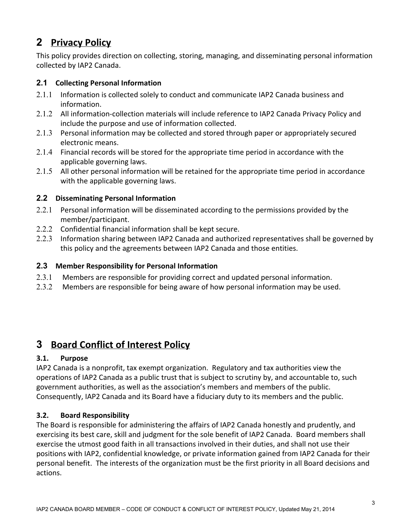# **2 Privacy Policy**

This policy provides direction on collecting, storing, managing, and disseminating personal information collected by IAP2 Canada.

#### **2.1 Collecting Personal Information**

- 2.1.1 Information is collected solely to conduct and communicate IAP2 Canada business and information.
- 2.1.2 All information-collection materials will include reference to IAP2 Canada Privacy Policy and include the purpose and use of information collected.
- 2.1.3 Personal information may be collected and stored through paper or appropriately secured electronic means.
- 2.1.4 Financial records will be stored for the appropriate time period in accordance with the applicable governing laws.
- 2.1.5 All other personal information will be retained for the appropriate time period in accordance with the applicable governing laws.

#### **2.2 Disseminating Personal Information**

- 2.2.1 Personal information will be disseminated according to the permissions provided by the member/participant.
- 2.2.2 Confidential financial information shall be kept secure.
- 2.2.3 Information sharing between IAP2 Canada and authorized representatives shall be governed by this policy and the agreements between IAP2 Canada and those entities.

#### **2.3 Member Responsibility for Personal Information**

- 2.3.1 Members are responsible for providing correct and updated personal information.
- 2.3.2 Members are responsible for being aware of how personal information may be used.

# **3 Board Conflict of Interest Policy**

#### **3.1. Purpose**

IAP2 Canada is a nonprofit, tax exempt organization. Regulatory and tax authorities view the operations of IAP2 Canada as a public trust that is subject to scrutiny by, and accountable to, such government authorities, as well as the association's members and members of the public. Consequently, IAP2 Canada and its Board have a fiduciary duty to its members and the public.

#### **3.2. Board Responsibility**

The Board is responsible for administering the affairs of IAP2 Canada honestly and prudently, and exercising its best care, skill and judgment for the sole benefit of IAP2 Canada. Board members shall exercise the utmost good faith in all transactions involved in their duties, and shall not use their positions with IAP2, confidential knowledge, or private information gained from IAP2 Canada for their personal benefit. The interests of the organization must be the first priority in all Board decisions and actions.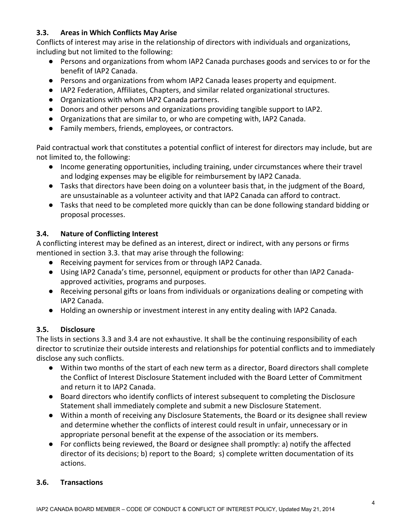#### **3.3. Areas in Which Conflicts May Arise**

Conflicts of interest may arise in the relationship of directors with individuals and organizations, including but not limited to the following:

- Persons and organizations from whom IAP2 Canada purchases goods and services to or for the benefit of IAP2 Canada.
- Persons and organizations from whom IAP2 Canada leases property and equipment.
- IAP2 Federation, Affiliates, Chapters, and similar related organizational structures.
- Organizations with whom IAP2 Canada partners.
- Donors and other persons and organizations providing tangible support to IAP2.
- Organizations that are similar to, or who are competing with, IAP2 Canada.
- Family members, friends, employees, or contractors.

Paid contractual work that constitutes a potential conflict of interest for directors may include, but are not limited to, the following:

- Income generating opportunities, including training, under circumstances where their travel and lodging expenses may be eligible for reimbursement by IAP2 Canada.
- Tasks that directors have been doing on a volunteer basis that, in the judgment of the Board, are unsustainable as a volunteer activity and that IAP2 Canada can afford to contract.
- Tasks that need to be completed more quickly than can be done following standard bidding or proposal processes.

#### **3.4. Nature of Conflicting Interest**

A conflicting interest may be defined as an interest, direct or indirect, with any persons or firms mentioned in section 3.3. that may arise through the following:

- Receiving payment for services from or through IAP2 Canada.
- Using IAP2 Canada's time, personnel, equipment or products for other than IAP2 Canadaapproved activities, programs and purposes.
- Receiving personal gifts or loans from individuals or organizations dealing or competing with IAP2 Canada.
- Holding an ownership or investment interest in any entity dealing with IAP2 Canada.

#### **3.5. Disclosure**

The lists in sections 3.3 and 3.4 are not exhaustive. It shall be the continuing responsibility of each director to scrutinize their outside interests and relationships for potential conflicts and to immediately disclose any such conflicts.

- Within two months of the start of each new term as a director, Board directors shall complete the Conflict of Interest Disclosure Statement included with the Board Letter of Commitment and return it to IAP2 Canada.
- Board directors who identify conflicts of interest subsequent to completing the Disclosure Statement shall immediately complete and submit a new Disclosure Statement.
- Within a month of receiving any Disclosure Statements, the Board or its designee shall review and determine whether the conflicts of interest could result in unfair, unnecessary or in appropriate personal benefit at the expense of the association or its members.
- For conflicts being reviewed, the Board or designee shall promptly: a) notify the affected director of its decisions; b) report to the Board; s) complete written documentation of its actions.

#### **3.6. Transactions**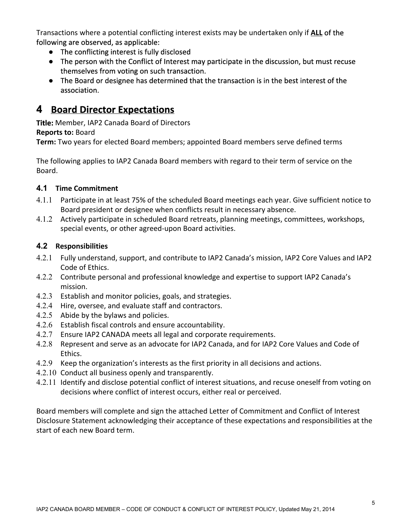Transactions where a potential conflicting interest exists may be undertaken only if **ALL**of the following are observed, as applicable:

- The conflicting interest is fully disclosed
- The person with the Conflict of Interest may participate in the discussion, but must recuse themselves from voting on such transaction.
- The Board or designee has determined that the transaction is in the best interest of the association.

# **4 Board Director Expectations**

**Title:** Member, IAP2 Canada Board of Directors

**Reports to:** Board

**Term:** Two years for elected Board members; appointed Board members serve defined terms

The following applies to IAP2 Canada Board members with regard to their term of service on the Board.

#### **4.1 Time Commitment**

- 4.1.1 Participate in at least 75% of the scheduled Board meetings each year. Give sufficient notice to Board president or designee when conflicts result in necessary absence.
- 4.1.2 Actively participate in scheduled Board retreats, planning meetings, committees, workshops, special events, or other agreed-upon Board activities.

#### **4.2 Responsibilities**

- 4.2.1 Fully understand, support, and contribute to IAP2 Canada's mission, IAP2 Core Values and IAP2 Code of Ethics.
- 4.2.2 Contribute personal and professional knowledge and expertise to support IAP2 Canada's mission.
- 4.2.3 Establish and monitor policies, goals, and strategies.
- 4.2.4 Hire, oversee, and evaluate staff and contractors.
- 4.2.5 Abide by the bylaws and policies.
- 4.2.6 Establish fiscal controls and ensure accountability.
- 4.2.7 Ensure IAP2 CANADA meets all legal and corporate requirements.
- 4.2.8 Represent and serve as an advocate for IAP2 Canada, and for IAP2 Core Values and Code of Ethics.
- 4.2.9 Keep the organization's interests as the first priority in all decisions and actions.
- 4.2.10 Conduct all business openly and transparently.
- 4.2.11 Identify and disclose potential conflict of interest situations, and recuse oneself from voting on decisions where conflict of interest occurs, either real or perceived.

Board members will complete and sign the attached Letter of Commitment and Conflict of Interest Disclosure Statement acknowledging their acceptance of these expectations and responsibilities at the start of each new Board term.